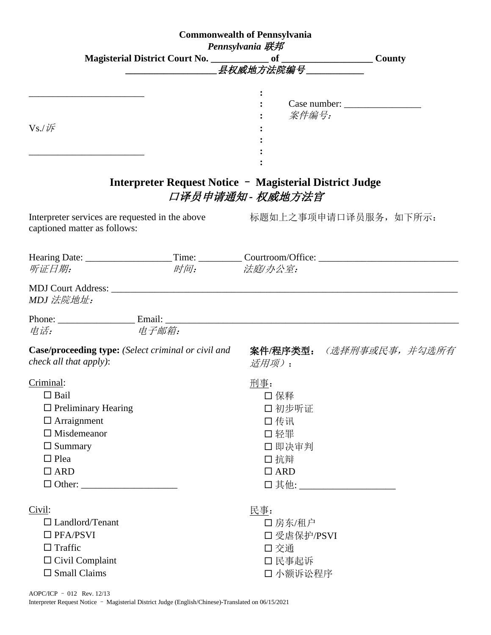| <b>Commonwealth of Pennsylvania</b> |                                                                                                      |                  |                                                                          |  |
|-------------------------------------|------------------------------------------------------------------------------------------------------|------------------|--------------------------------------------------------------------------|--|
| <b>Pennsylvania 联邦</b>              |                                                                                                      |                  |                                                                          |  |
|                                     |                                                                                                      |                  |                                                                          |  |
|                                     |                                                                                                      |                  |                                                                          |  |
|                                     |                                                                                                      |                  |                                                                          |  |
|                                     |                                                                                                      |                  |                                                                          |  |
|                                     |                                                                                                      | 案件编号:            |                                                                          |  |
| $Vs$ ./ $\sqrt{F}$                  |                                                                                                      |                  |                                                                          |  |
|                                     |                                                                                                      |                  |                                                                          |  |
|                                     |                                                                                                      |                  |                                                                          |  |
|                                     | Interpreter Request Notice - Magisterial District Judge                                              |                  |                                                                          |  |
|                                     |                                                                                                      | 口译员申请通知 - 权威地方法官 |                                                                          |  |
| captioned matter as follows:        |                                                                                                      |                  | Interpreter services are requested in the above<br>标题如上之事项申请口译员服务, 如下所示: |  |
|                                     | Hearing Date: ____________________Time: ___________Courtroom/Office: _______________________________ |                  |                                                                          |  |
| 听证日期:                               | 时间:                                                                                                  | 法庭/办公室:          |                                                                          |  |
| MDJ 法院地址:                           |                                                                                                      |                  |                                                                          |  |
|                                     |                                                                                                      |                  |                                                                          |  |
| 电话:                                 | 电子邮箱:                                                                                                |                  |                                                                          |  |
| check all that apply):              | <b>Case/proceeding type:</b> (Select criminal or civil and                                           | 适用项):            | 案件/程序类型: (选择刑事或民事, 并勾选所有                                                 |  |
| Criminal:                           |                                                                                                      | 刑事:              |                                                                          |  |
| $\Box$ Bail                         |                                                                                                      | □ 保释             |                                                                          |  |
| $\Box$ Preliminary Hearing          |                                                                                                      | 口初步听证            |                                                                          |  |
| $\Box$ Arraignment                  |                                                                                                      | 口传讯              |                                                                          |  |
| $\Box$ Misdemeanor                  |                                                                                                      | 口轻罪              |                                                                          |  |
| $\Box$ Summary                      |                                                                                                      | 口即决审判            |                                                                          |  |
| $\Box$ Plea                         |                                                                                                      | 口抗辩              |                                                                          |  |
| $\Box$ ARD                          |                                                                                                      | $\Box$ ARD       |                                                                          |  |
|                                     |                                                                                                      |                  | □其他: ____________________                                                |  |
| Civil:                              |                                                                                                      | 民事:              |                                                                          |  |
| $\Box$ Landlord/Tenant              |                                                                                                      | 口房东/租户           |                                                                          |  |
| $\Box$ PFA/PSVI                     |                                                                                                      | 口受虐保护/PSVI       |                                                                          |  |
| $\Box$ Traffic                      |                                                                                                      | 口交通              |                                                                          |  |
| $\Box$ Civil Complaint              |                                                                                                      | 口 民事起诉           |                                                                          |  |
| $\square$ Small Claims              |                                                                                                      | 口 小额诉讼程序         |                                                                          |  |

AOPC/ICP – 012 Rev. 12/13

Interpreter Request Notice – Magisterial District Judge (English/Chinese)-Translated on 06/15/2021